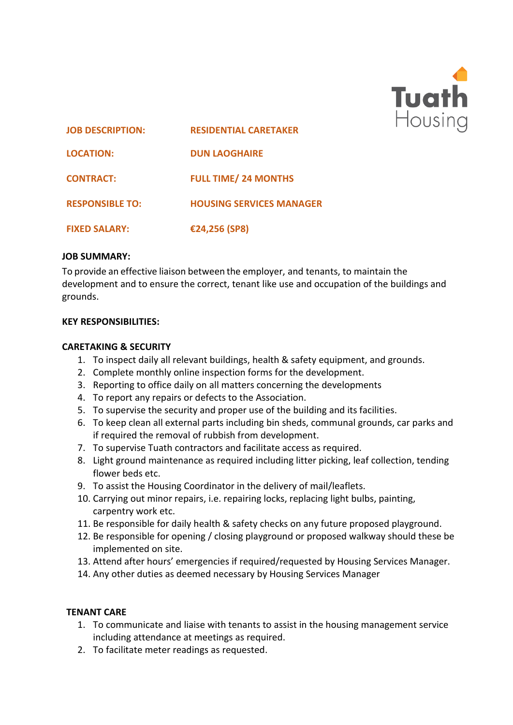

| <b>JOB DESCRIPTION:</b> | <b>RESIDENTIAL CARETAKER</b>    |
|-------------------------|---------------------------------|
| <b>LOCATION:</b>        | <b>DUN LAOGHAIRE</b>            |
| <b>CONTRACT:</b>        | <b>FULL TIME/24 MONTHS</b>      |
| <b>RESPONSIBLE TO:</b>  | <b>HOUSING SERVICES MANAGER</b> |
| <b>FIXED SALARY:</b>    | €24,256 (SP8)                   |

#### **JOB SUMMARY:**

To provide an effective liaison between the employer, and tenants, to maintain the development and to ensure the correct, tenant like use and occupation of the buildings and grounds.

## **KEY RESPONSIBILITIES:**

#### **CARETAKING & SECURITY**

- 1. To inspect daily all relevant buildings, health & safety equipment, and grounds.
- 2. Complete monthly online inspection forms for the development.
- 3. Reporting to office daily on all matters concerning the developments
- 4. To report any repairs or defects to the Association.
- 5. To supervise the security and proper use of the building and its facilities.
- 6. To keep clean all external parts including bin sheds, communal grounds, car parks and if required the removal of rubbish from development.
- 7. To supervise Tuath contractors and facilitate access as required.
- 8. Light ground maintenance as required including litter picking, leaf collection, tending flower beds etc.
- 9. To assist the Housing Coordinator in the delivery of mail/leaflets.
- 10. Carrying out minor repairs, i.e. repairing locks, replacing light bulbs, painting, carpentry work etc.
- 11. Be responsible for daily health & safety checks on any future proposed playground.
- 12. Be responsible for opening / closing playground or proposed walkway should these be implemented on site.
- 13. Attend after hours' emergencies if required/requested by Housing Services Manager.
- 14. Any other duties as deemed necessary by Housing Services Manager

## **TENANT CARE**

- 1. To communicate and liaise with tenants to assist in the housing management service including attendance at meetings as required.
- 2. To facilitate meter readings as requested.